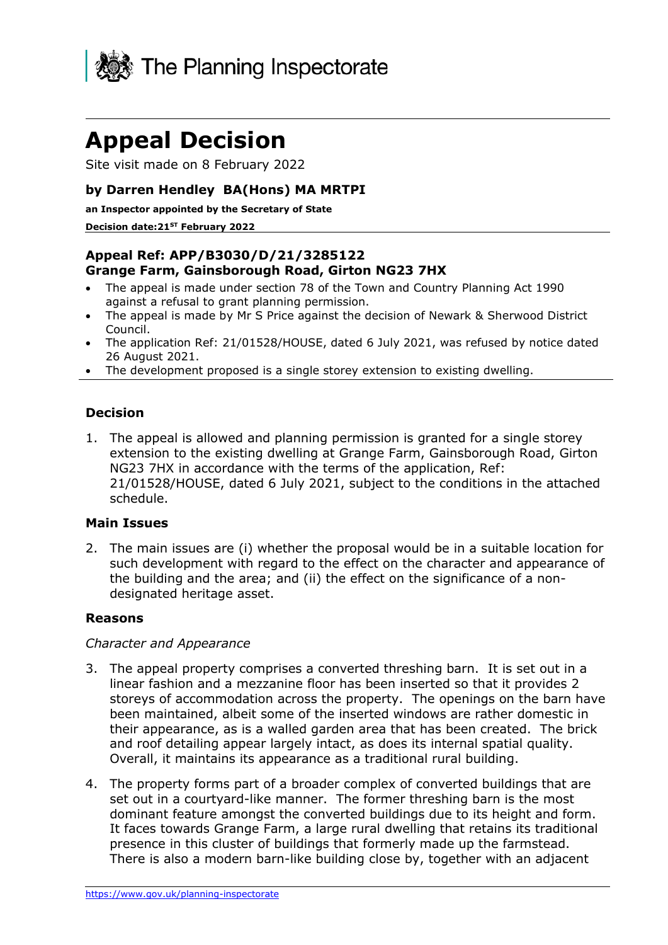

# **Appeal Decision**

Site visit made on 8 February 2022

## **by Darren Hendley BA(Hons) MA MRTPI**

**an Inspector appointed by the Secretary of State**

#### **Decision date:21ST February 2022**

## **Appeal Ref: APP/B3030/D/21/3285122 Grange Farm, Gainsborough Road, Girton NG23 7HX**

- The appeal is made under section 78 of the Town and Country Planning Act 1990 against a refusal to grant planning permission.
- The appeal is made by Mr S Price against the decision of Newark & Sherwood District Council.
- The application Ref: 21/01528/HOUSE, dated 6 July 2021, was refused by notice dated 26 August 2021.
- The development proposed is a single storey extension to existing dwelling.

## **Decision**

1. The appeal is allowed and planning permission is granted for a single storey extension to the existing dwelling at Grange Farm, Gainsborough Road, Girton NG23 7HX in accordance with the terms of the application, Ref: 21/01528/HOUSE, dated 6 July 2021, subject to the conditions in the attached schedule.

## **Main Issues**

2. The main issues are (i) whether the proposal would be in a suitable location for such development with regard to the effect on the character and appearance of the building and the area; and (ii) the effect on the significance of a nondesignated heritage asset.

## **Reasons**

#### *Character and Appearance*

- 3. The appeal property comprises a converted threshing barn. It is set out in a linear fashion and a mezzanine floor has been inserted so that it provides 2 storeys of accommodation across the property. The openings on the barn have been maintained, albeit some of the inserted windows are rather domestic in their appearance, as is a walled garden area that has been created. The brick and roof detailing appear largely intact, as does its internal spatial quality. Overall, it maintains its appearance as a traditional rural building.
- 4. The property forms part of a broader complex of converted buildings that are set out in a courtyard-like manner. The former threshing barn is the most dominant feature amongst the converted buildings due to its height and form. It faces towards Grange Farm, a large rural dwelling that retains its traditional presence in this cluster of buildings that formerly made up the farmstead. There is also a modern barn-like building close by, together with an adjacent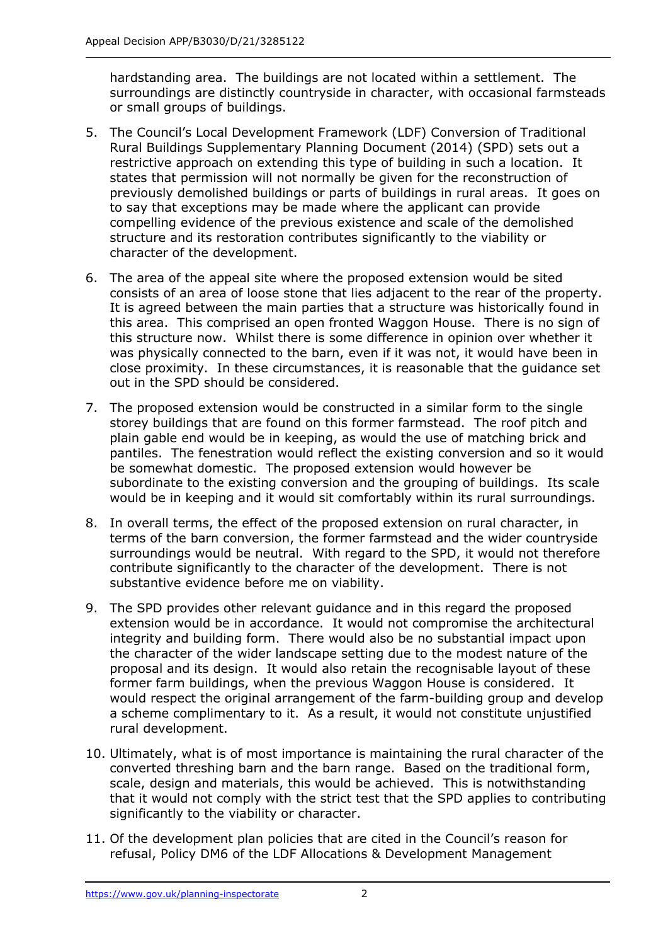hardstanding area. The buildings are not located within a settlement. The surroundings are distinctly countryside in character, with occasional farmsteads or small groups of buildings.

- 5. The Council's Local Development Framework (LDF) Conversion of Traditional Rural Buildings Supplementary Planning Document (2014) (SPD) sets out a restrictive approach on extending this type of building in such a location. It states that permission will not normally be given for the reconstruction of previously demolished buildings or parts of buildings in rural areas. It goes on to say that exceptions may be made where the applicant can provide compelling evidence of the previous existence and scale of the demolished structure and its restoration contributes significantly to the viability or character of the development.
- 6. The area of the appeal site where the proposed extension would be sited consists of an area of loose stone that lies adjacent to the rear of the property. It is agreed between the main parties that a structure was historically found in this area. This comprised an open fronted Waggon House. There is no sign of this structure now. Whilst there is some difference in opinion over whether it was physically connected to the barn, even if it was not, it would have been in close proximity. In these circumstances, it is reasonable that the guidance set out in the SPD should be considered.
- 7. The proposed extension would be constructed in a similar form to the single storey buildings that are found on this former farmstead. The roof pitch and plain gable end would be in keeping, as would the use of matching brick and pantiles. The fenestration would reflect the existing conversion and so it would be somewhat domestic. The proposed extension would however be subordinate to the existing conversion and the grouping of buildings. Its scale would be in keeping and it would sit comfortably within its rural surroundings.
- 8. In overall terms, the effect of the proposed extension on rural character, in terms of the barn conversion, the former farmstead and the wider countryside surroundings would be neutral. With regard to the SPD, it would not therefore contribute significantly to the character of the development. There is not substantive evidence before me on viability.
- 9. The SPD provides other relevant guidance and in this regard the proposed extension would be in accordance. It would not compromise the architectural integrity and building form. There would also be no substantial impact upon the character of the wider landscape setting due to the modest nature of the proposal and its design. It would also retain the recognisable layout of these former farm buildings, when the previous Waggon House is considered. It would respect the original arrangement of the farm-building group and develop a scheme complimentary to it. As a result, it would not constitute unjustified rural development.
- 10. Ultimately, what is of most importance is maintaining the rural character of the converted threshing barn and the barn range. Based on the traditional form, scale, design and materials, this would be achieved. This is notwithstanding that it would not comply with the strict test that the SPD applies to contributing significantly to the viability or character.
- 11. Of the development plan policies that are cited in the Council's reason for refusal, Policy DM6 of the LDF Allocations & Development Management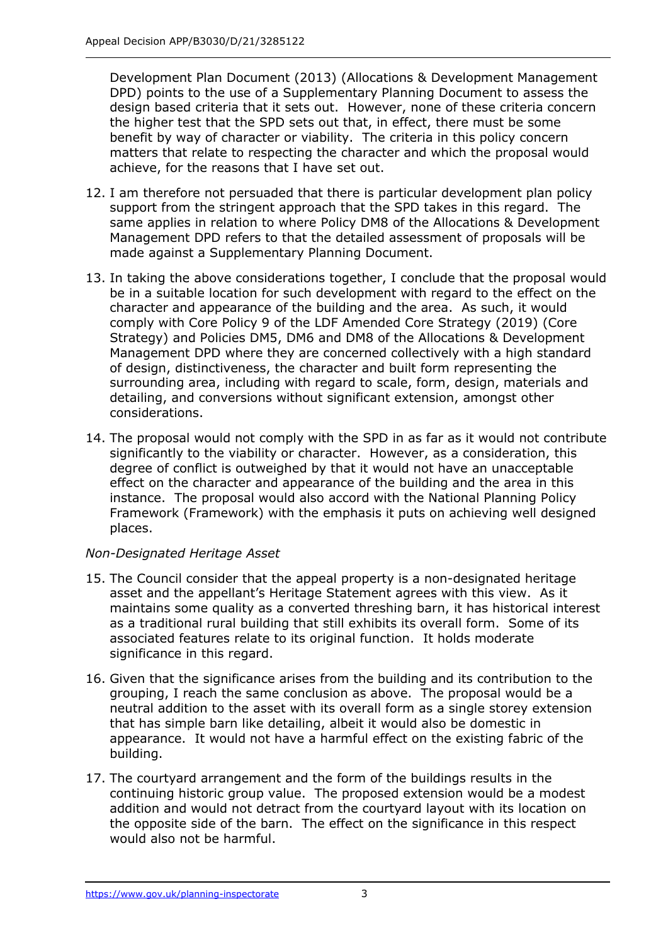Development Plan Document (2013) (Allocations & Development Management DPD) points to the use of a Supplementary Planning Document to assess the design based criteria that it sets out. However, none of these criteria concern the higher test that the SPD sets out that, in effect, there must be some benefit by way of character or viability. The criteria in this policy concern matters that relate to respecting the character and which the proposal would achieve, for the reasons that I have set out.

- 12. I am therefore not persuaded that there is particular development plan policy support from the stringent approach that the SPD takes in this regard. The same applies in relation to where Policy DM8 of the Allocations & Development Management DPD refers to that the detailed assessment of proposals will be made against a Supplementary Planning Document.
- 13. In taking the above considerations together, I conclude that the proposal would be in a suitable location for such development with regard to the effect on the character and appearance of the building and the area. As such, it would comply with Core Policy 9 of the LDF Amended Core Strategy (2019) (Core Strategy) and Policies DM5, DM6 and DM8 of the Allocations & Development Management DPD where they are concerned collectively with a high standard of design, distinctiveness, the character and built form representing the surrounding area, including with regard to scale, form, design, materials and detailing, and conversions without significant extension, amongst other considerations.
- 14. The proposal would not comply with the SPD in as far as it would not contribute significantly to the viability or character. However, as a consideration, this degree of conflict is outweighed by that it would not have an unacceptable effect on the character and appearance of the building and the area in this instance. The proposal would also accord with the National Planning Policy Framework (Framework) with the emphasis it puts on achieving well designed places.

## *Non-Designated Heritage Asset*

- 15. The Council consider that the appeal property is a non-designated heritage asset and the appellant's Heritage Statement agrees with this view. As it maintains some quality as a converted threshing barn, it has historical interest as a traditional rural building that still exhibits its overall form. Some of its associated features relate to its original function. It holds moderate significance in this regard.
- 16. Given that the significance arises from the building and its contribution to the grouping, I reach the same conclusion as above. The proposal would be a neutral addition to the asset with its overall form as a single storey extension that has simple barn like detailing, albeit it would also be domestic in appearance. It would not have a harmful effect on the existing fabric of the building.
- 17. The courtyard arrangement and the form of the buildings results in the continuing historic group value. The proposed extension would be a modest addition and would not detract from the courtyard layout with its location on the opposite side of the barn. The effect on the significance in this respect would also not be harmful.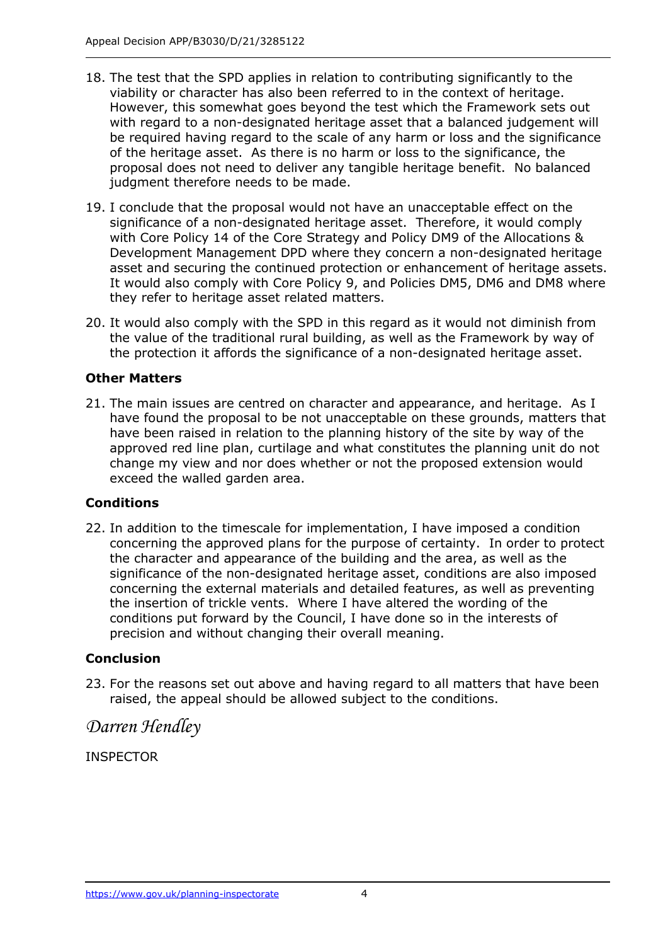- 18. The test that the SPD applies in relation to contributing significantly to the viability or character has also been referred to in the context of heritage. However, this somewhat goes beyond the test which the Framework sets out with regard to a non-designated heritage asset that a balanced judgement will be required having regard to the scale of any harm or loss and the significance of the heritage asset. As there is no harm or loss to the significance, the proposal does not need to deliver any tangible heritage benefit. No balanced judgment therefore needs to be made.
- 19. I conclude that the proposal would not have an unacceptable effect on the significance of a non-designated heritage asset. Therefore, it would comply with Core Policy 14 of the Core Strategy and Policy DM9 of the Allocations & Development Management DPD where they concern a non-designated heritage asset and securing the continued protection or enhancement of heritage assets. It would also comply with Core Policy 9, and Policies DM5, DM6 and DM8 where they refer to heritage asset related matters.
- 20. It would also comply with the SPD in this regard as it would not diminish from the value of the traditional rural building, as well as the Framework by way of the protection it affords the significance of a non-designated heritage asset.

## **Other Matters**

21. The main issues are centred on character and appearance, and heritage. As I have found the proposal to be not unacceptable on these grounds, matters that have been raised in relation to the planning history of the site by way of the approved red line plan, curtilage and what constitutes the planning unit do not change my view and nor does whether or not the proposed extension would exceed the walled garden area.

## **Conditions**

22. In addition to the timescale for implementation, I have imposed a condition concerning the approved plans for the purpose of certainty. In order to protect the character and appearance of the building and the area, as well as the significance of the non-designated heritage asset, conditions are also imposed concerning the external materials and detailed features, as well as preventing the insertion of trickle vents. Where I have altered the wording of the conditions put forward by the Council, I have done so in the interests of precision and without changing their overall meaning.

## **Conclusion**

23. For the reasons set out above and having regard to all matters that have been raised, the appeal should be allowed subject to the conditions.

## *Darren Hendley*

INSPECTOR